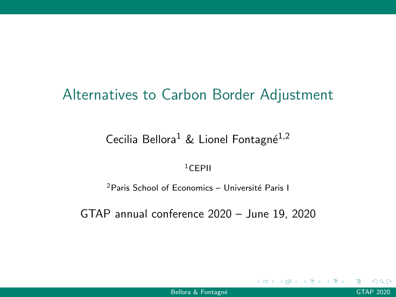# Alternatives to Carbon Border Adjustment

## Cecilia Bellora<sup>1</sup> & Lionel Fontagné<sup>1,2</sup>

### $1$ CEPII

 $2$ Paris School of Economics – Université Paris I

GTAP annual conference 2020 – June 19, 2020

4 **D** F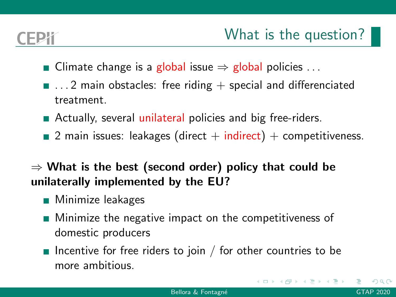- Climate change is a global issue  $\Rightarrow$  global policies ...
- $\blacksquare$  ... 2 main obstacles: free riding  $+$  special and differenciated treatment.
- Actually, several unilateral policies and big free-riders.
- 2 main issues: leakages (direct  $+$  indirect)  $+$  competitiveness.

## $\Rightarrow$  What is the best (second order) policy that could be unilaterally implemented by the EU?

- **Minimize leakages**
- **Minimize the negative impact on the competitiveness of** domestic producers
- Incentive for free riders to join / for other countries to be more ambitious.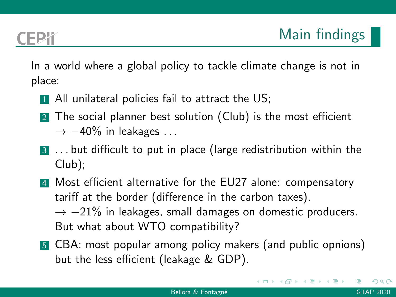$\lambda \equiv \lambda \lambda \equiv \lambda$ 

In a world where a global policy to tackle climate change is not in place:

- 1 All unilateral policies fail to attract the US;
- 2 The social planner best solution (Club) is the most efficient  $\rightarrow -40\%$  in leakages ...
- 3 . . . but difficult to put in place (large redistribution within the Club);
- 4 Most efficient alternative for the EU27 alone: compensatory tariff at the border (difference in the carbon taxes).  $\rightarrow -21\%$  in leakages, small damages on domestic producers. But what about WTO compatibility?
- **5** CBA: most popular among policy makers (and public opnions) but the less efficient (leakage & GDP).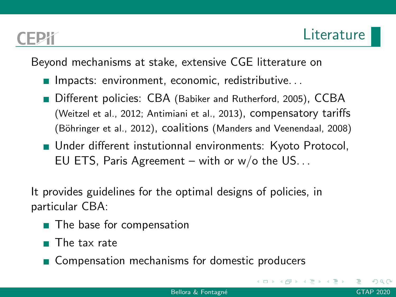Beyond mechanisms at stake, extensive CGE litterature on

- **Impacts: environment, economic, redistributive...**
- Different policies: CBA [\(Babiker and Rutherford, 2005\)](#page-15-0), CCBA [\(Weitzel et al., 2012;](#page-15-1) [Antimiani et al., 2013\)](#page-15-2), compensatory tariffs (Böhringer et al., 2012), coalitions [\(Manders and Veenendaal, 2008\)](#page-15-4)
- **Under different instutionnal environments: Kyoto Protocol,** EU ETS, Paris Agreement – with or  $w/o$  the US...

It provides guidelines for the optimal designs of policies, in particular CBA:

- The base for compensation
- The tax rate
- **Compensation mechanisms for domestic producers**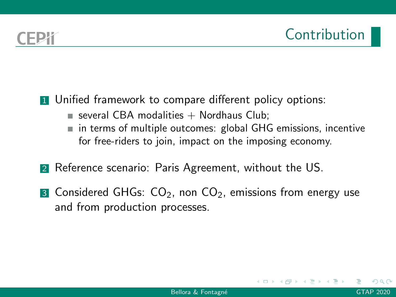**1** Unified framework to compare different policy options:

- several CBA modalities  $+$  Nordhaus Club;
- in terms of multiple outcomes: global GHG emissions, incentive for free-riders to join, impact on the imposing economy.
- 2 Reference scenario: Paris Agreement, without the US.
- **3** Considered GHGs:  $CO<sub>2</sub>$ , non  $CO<sub>2</sub>$ , emissions from energy use and from production processes.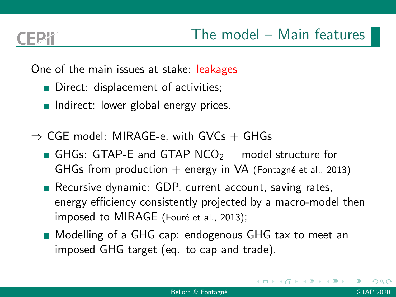One of the main issues at stake: leakages

- Direct: displacement of activities;
- Indirect: lower global energy prices.
- $\Rightarrow$  CGE model: MIRAGE-e, with GVCs + GHGs
	- GHGs: GTAP-E and GTAP NCO<sub>2</sub> + model structure for GHGs from production  $+$  energy in VA (Fontagné et al., 2013)
	- Recursive dynamic: GDP, current account, saving rates, energy efficiency consistently projected by a macro-model then imposed to MIRAGE (Fouré et al., 2013);
	- Modelling of a GHG cap: endogenous GHG tax to meet an imposed GHG target (eq. to cap and trade).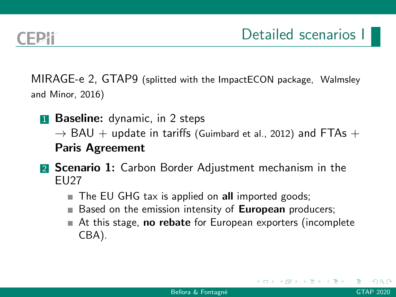MIRAGE-e 2, GTAP9 (splitted with the ImpactECON package, [Walmsley](#page-15-7) [and Minor, 2016\)](#page-15-7)

- **1 Baseline:** dynamic, in 2 steps  $\rightarrow$  BAU + update in tariffs [\(Guimbard et al., 2012\)](#page-15-8) and FTAs + Paris Agreement
- **2 Scenario 1:** Carbon Border Adjustment mechanism in the EU27
	- The EU GHG tax is applied on all imported goods;
	- Based on the emission intensity of **European** producers;
	- $\blacksquare$  At this stage, **no rebate** for European exporters (incomplete CBA).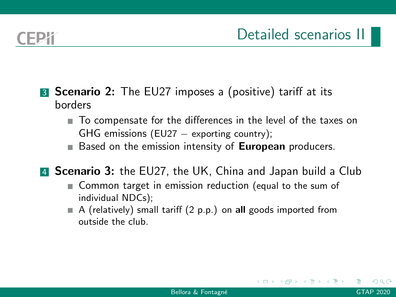- **3 Scenario 2:** The EU27 imposes a (positive) tariff at its borders
	- To compensate for the differences in the level of the taxes on GHG emissions (EU27  $-$  exporting country);
	- $\blacksquare$  Based on the emission intensity of **European** producers.

**4 Scenario 3:** the EU27, the UK, China and Japan build a Club

- Common target in emission reduction (equal to the sum of individual NDCs);
- $\blacksquare$  A (relatively) small tariff (2 p.p.) on all goods imported from outside the club.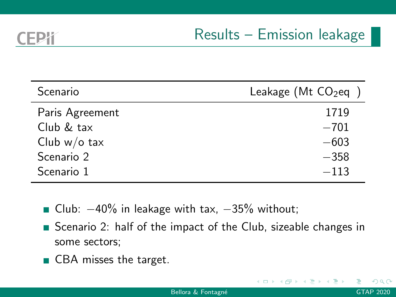$\blacksquare$ 

| Scenario        | Leakage (Mt $CO2$ eq ) |
|-----------------|------------------------|
| Paris Agreement | 1719                   |
| Club & tax      | $-701$                 |
| Club $w/o$ tax  | $-603$                 |
| Scenario 2      | $-358$                 |
| Scenario 1      | $-113$                 |

- Club:  $-40\%$  in leakage with tax,  $-35\%$  without;
- Scenario 2: half of the impact of the Club, sizeable changes in some sectors;
- CBA misses the target.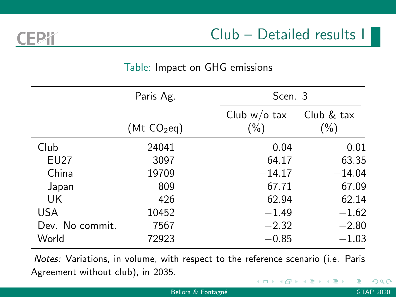EPY

## Table: Impact on GHG emissions

|                 | Paris Ag.               |                            | Scen. 3              |  |
|-----------------|-------------------------|----------------------------|----------------------|--|
|                 | (Mt CO <sub>2</sub> eq) | Club $w$ /o tax<br>$(\% )$ | Club & tax<br>$(\%)$ |  |
| Club            | 24041                   | 0.04                       | 0.01                 |  |
| <b>EU27</b>     | 3097                    | 64.17                      | 63.35                |  |
| China           | 19709                   | $-14.17$                   | $-14.04$             |  |
| Japan           | 809                     | 67.71                      | 67.09                |  |
| UK              | 426                     | 62.94                      | 62.14                |  |
| USA             | 10452                   | $-1.49$                    | $-1.62$              |  |
| Dev. No commit. | 7567                    | $-2.32$                    | $-2.80$              |  |
| World           | 72923                   | $-0.85$                    | $^{-1.03}$           |  |

Notes: Variations, in volume, with respect to the reference scenario (i.e. Paris Agreement without club), in 2035.

4 **EL F**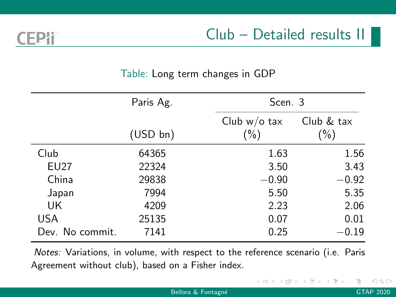FPY

Club – Detailed results II

### Table: Long term changes in GDP

|                 | Paris Ag. |                          | Scen. 3               |  |
|-----------------|-----------|--------------------------|-----------------------|--|
|                 | (USD bn)  | Club $w/o$ tax<br>$(\%)$ | Club & tax<br>$(\% )$ |  |
| Club            | 64365     | 1.63                     | 1.56                  |  |
| <b>EU27</b>     | 22324     | 3.50                     | 3.43                  |  |
| China           | 29838     | $-0.90$                  | $-0.92$               |  |
| Japan           | 7994      | 5.50                     | 5.35                  |  |
| UK              | 4209      | 2.23                     | 2.06                  |  |
| USA             | 25135     | 0.07                     | 0.01                  |  |
| Dev. No commit. | 7141      | 0.25                     | $-0.19$               |  |

Notes: Variations, in volume, with respect to the reference scenario (i.e. Paris Agreement without club), based on a Fisher index.

 $\triangleright$   $\rightarrow$   $\exists$   $\rightarrow$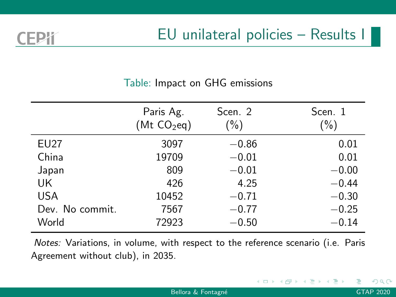4 **EL F** 

### Table: Impact on GHG emissions

FPK

|                 | Paris Ag.<br>(Mt CO <sub>2</sub> eq) | Scen. 2<br>$(\% )$ | Scen. 1<br>$(\% )$ |
|-----------------|--------------------------------------|--------------------|--------------------|
| <b>EU27</b>     | 3097                                 | $-0.86$            | 0.01               |
| China           | 19709                                | $-0.01$            | 0.01               |
| Japan           | 809                                  | $-0.01$            | $-0.00$            |
| UK              | 426                                  | 4.25               | $-0.44$            |
| <b>USA</b>      | 10452                                | $-0.71$            | $-0.30$            |
| Dev. No commit. | 7567                                 | $-0.77$            | $-0.25$            |
| World           | 72923                                | $-0.50$            | $-0.14$            |

Notes: Variations, in volume, with respect to the reference scenario (i.e. Paris Agreement without club), in 2035.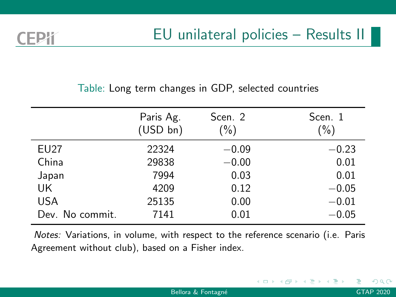### Table: Long term changes in GDP, selected countries

|                 | Paris Ag.<br>(USD bn) | Scen. 2<br>$(\% )$ | Scen. 1<br>$(\% )$ |
|-----------------|-----------------------|--------------------|--------------------|
| <b>EU27</b>     | 22324                 | $-0.09$            | $-0.23$            |
| China           | 29838                 | $-0.00$            | 0.01               |
| Japan           | 7994                  | 0.03               | 0.01               |
| UK              | 4209                  | 0.12               | $-0.05$            |
| <b>USA</b>      | 25135                 | 0.00               | $-0.01$            |
| Dev. No commit. | 7141                  | 0.01               | $-0.05$            |

Notes: Variations, in volume, with respect to the reference scenario (i.e. Paris Agreement without club), based on a Fisher index.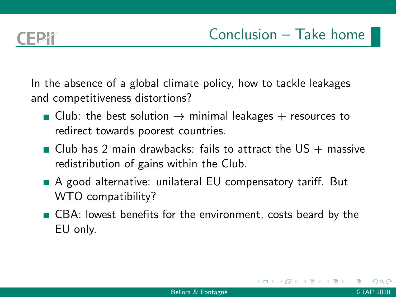In the absence of a global climate policy, how to tackle leakages and competitiveness distortions?

- Club: the best solution  $\rightarrow$  minimal leakages + resources to redirect towards poorest countries.
- $\blacksquare$  Club has 2 main drawbacks: fails to attract the US  $+$  massive redistribution of gains within the Club.
- A good alternative: unilateral EU compensatory tariff. But WTO compatibility?
- CBA: lowest benefits for the environment, costs beard by the EU only.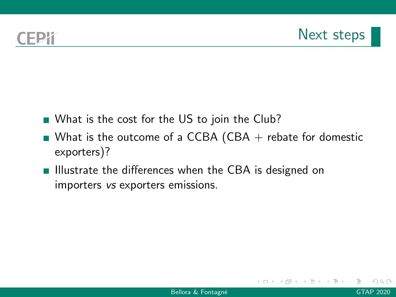- What is the cost for the US to join the Club?
- What is the outcome of a CCBA (CBA  $+$  rebate for domestic exporters)?
- $\blacksquare$  Illustrate the differences when the CBA is designed on importers vs exporters emissions.